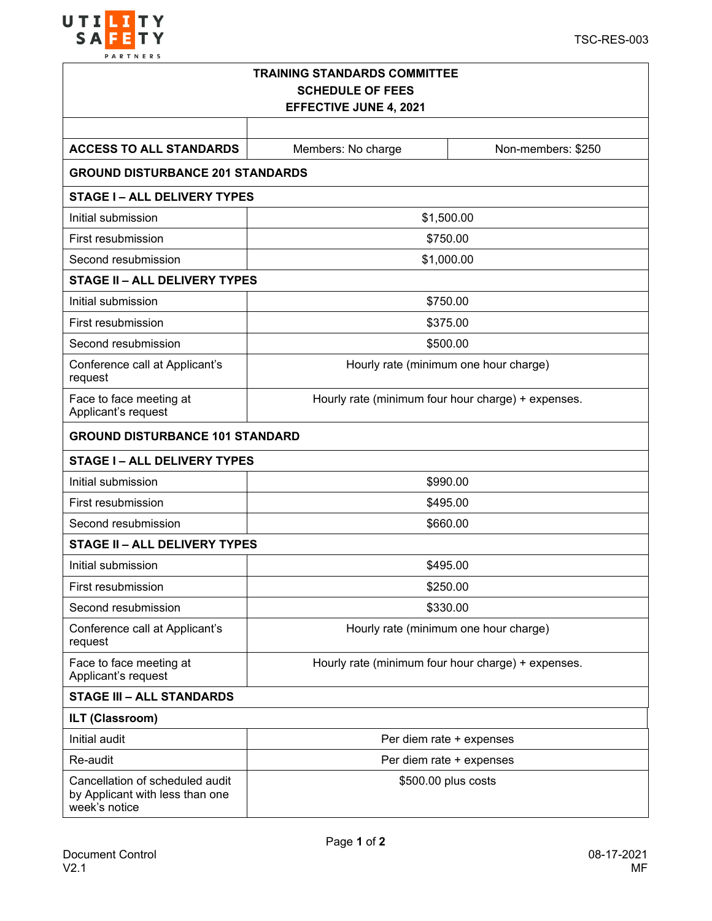

| <b>TRAINING STANDARDS COMMITTEE</b><br><b>SCHEDULE OF FEES</b><br><b>EFFECTIVE JUNE 4, 2021</b> |                                                    |                                       |  |  |  |  |
|-------------------------------------------------------------------------------------------------|----------------------------------------------------|---------------------------------------|--|--|--|--|
|                                                                                                 |                                                    |                                       |  |  |  |  |
| <b>ACCESS TO ALL STANDARDS</b>                                                                  | Members: No charge                                 | Non-members: \$250                    |  |  |  |  |
| <b>GROUND DISTURBANCE 201 STANDARDS</b>                                                         |                                                    |                                       |  |  |  |  |
| <b>STAGE I-ALL DELIVERY TYPES</b>                                                               |                                                    |                                       |  |  |  |  |
| Initial submission                                                                              | \$1,500.00                                         |                                       |  |  |  |  |
| First resubmission                                                                              | \$750.00                                           |                                       |  |  |  |  |
| Second resubmission                                                                             | \$1,000.00                                         |                                       |  |  |  |  |
| <b>STAGE II - ALL DELIVERY TYPES</b>                                                            |                                                    |                                       |  |  |  |  |
| Initial submission                                                                              | \$750.00                                           |                                       |  |  |  |  |
| First resubmission                                                                              | \$375.00                                           |                                       |  |  |  |  |
| Second resubmission                                                                             | \$500.00                                           |                                       |  |  |  |  |
| Conference call at Applicant's<br>request                                                       | Hourly rate (minimum one hour charge)              |                                       |  |  |  |  |
| Face to face meeting at<br>Applicant's request                                                  | Hourly rate (minimum four hour charge) + expenses. |                                       |  |  |  |  |
| <b>GROUND DISTURBANCE 101 STANDARD</b>                                                          |                                                    |                                       |  |  |  |  |
| <b>STAGE I-ALL DELIVERY TYPES</b>                                                               |                                                    |                                       |  |  |  |  |
| Initial submission                                                                              | \$990.00                                           |                                       |  |  |  |  |
| First resubmission                                                                              | \$495.00                                           |                                       |  |  |  |  |
| Second resubmission                                                                             | \$660.00                                           |                                       |  |  |  |  |
| <b>STAGE II - ALL DELIVERY TYPES</b>                                                            |                                                    |                                       |  |  |  |  |
| Initial submission                                                                              |                                                    | \$495.00                              |  |  |  |  |
| First resubmission                                                                              | \$250.00                                           |                                       |  |  |  |  |
| Second resubmission                                                                             | \$330.00                                           |                                       |  |  |  |  |
| Conference call at Applicant's<br>request                                                       |                                                    | Hourly rate (minimum one hour charge) |  |  |  |  |
| Face to face meeting at<br>Applicant's request                                                  | Hourly rate (minimum four hour charge) + expenses. |                                       |  |  |  |  |
| <b>STAGE III - ALL STANDARDS</b>                                                                |                                                    |                                       |  |  |  |  |
| <b>ILT (Classroom)</b>                                                                          |                                                    |                                       |  |  |  |  |
| Initial audit                                                                                   | Per diem rate + expenses                           |                                       |  |  |  |  |
| Re-audit                                                                                        | Per diem rate + expenses                           |                                       |  |  |  |  |
| Cancellation of scheduled audit<br>by Applicant with less than one<br>week's notice             |                                                    | \$500.00 plus costs                   |  |  |  |  |